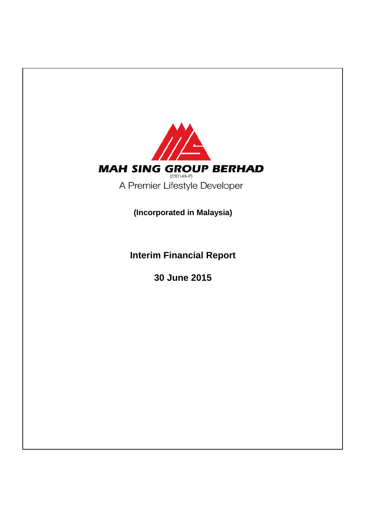

**Interim Financial Report**

**30 June 2015**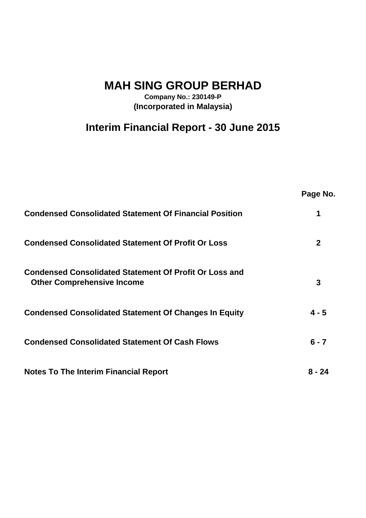**MAH SING GROUP BERHAD**

**Company No.: 230149-P (Incorporated in Malaysia)**

# **Interim Financial Report - 30 June 2015**

|                                                                                                    | Page No.     |
|----------------------------------------------------------------------------------------------------|--------------|
| <b>Condensed Consolidated Statement Of Financial Position</b>                                      |              |
| <b>Condensed Consolidated Statement Of Profit Or Loss</b>                                          | $\mathbf{2}$ |
| <b>Condensed Consolidated Statement Of Profit Or Loss and</b><br><b>Other Comprehensive Income</b> | 3            |
| <b>Condensed Consolidated Statement Of Changes In Equity</b>                                       | $4 - 5$      |
| <b>Condensed Consolidated Statement Of Cash Flows</b>                                              | $6 - 7$      |
| <b>Notes To The Interim Financial Report</b>                                                       | 8 - 24       |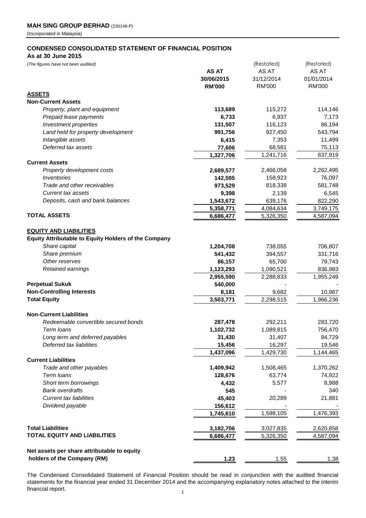# **CONDENSED CONSOLIDATED STATEMENT OF FINANCIAL POSITION**

**As at 30 June 2015**

*(The figures have not been audited)* (Restated) (Restated)

| (The ligures have not been addited)                         |               | Inesidieal    | Inesidied)    |
|-------------------------------------------------------------|---------------|---------------|---------------|
|                                                             | <b>AS AT</b>  | AS AT         | AS AT         |
|                                                             | 30/06/2015    | 31/12/2014    | 01/01/2014    |
|                                                             | <b>RM'000</b> | <b>RM'000</b> | <b>RM'000</b> |
| <b>ASSETS</b>                                               |               |               |               |
| <b>Non-Current Assets</b>                                   |               |               |               |
| Property, plant and equipment                               | 113,689       | 115,272       | 114,146       |
| Prepaid lease payments                                      | 6,733         | 6,937         | 7,173         |
| Investment properties                                       | 131,507       | 116,123       | 86,194        |
| Land held for property development                          | 991,756       | 927,450       | 543,794       |
| Intangible assets                                           | 6,415         | 7,353         | 11,499        |
| Deferred tax assets                                         | 77,606        | 68,581        | 75,113        |
|                                                             | 1,327,706     | 1,241,716     | 837,919       |
| <b>Current Assets</b>                                       |               |               |               |
| Property development costs                                  | 2,689,577     | 2,466,058     | 2,262,495     |
| Inventories                                                 | 142,595       | 158,923       | 76,097        |
| Trade and other receivables                                 | 973,529       | 818,338       | 581,748       |
| <b>Current tax assets</b>                                   | 9,398         | 2,139         | 6,545         |
| Deposits, cash and bank balances                            | 1,543,672     | 639,176       | 822,290       |
|                                                             | 5,358,771     | 4,084,634     | 3,749,175     |
| <b>TOTAL ASSETS</b>                                         | 6,686,477     | 5,326,350     | 4,587,094     |
|                                                             |               |               |               |
| <b>EQUITY AND LIABILITIES</b>                               |               |               |               |
| <b>Equity Attributable to Equity Holders of the Company</b> |               |               |               |
| Share capital                                               | 1,204,708     | 738,055       | 706,807       |
| Share premium                                               | 541,432       | 394,557       | 331,716       |
| Other reserves                                              | 86,157        | 65,700        | 79,743        |
| Retained earnings                                           | 1,123,293     | 1,090,521     | 836,983       |
|                                                             | 2,955,590     | 2,288,833     | 1,955,249     |
| <b>Perpetual Sukuk</b>                                      | 540,000       |               |               |
| <b>Non-Controlling Interests</b>                            | 8,181         | 9,682         | 10,987        |
| <b>Total Equity</b>                                         | 3,503,771     | 2,298,515     | 1,966,236     |
|                                                             |               |               |               |
| <b>Non-Current Liabilities</b>                              |               |               |               |
| Redeemable convertible secured bonds                        | 287,478       | 292,211       | 283,720       |
| Term loans                                                  | 1,102,732     | 1,089,815     | 756,470       |
| Long term and deferred payables                             | 31,430        | 31,407        | 84,729        |
| Deferred tax liabilities                                    | 15,456        | 16,297        | 19,546        |
|                                                             | 1,437,096     | 1,429,730     | 1,144,465     |
| <b>Current Liabilities</b>                                  |               |               |               |
| Trade and other payables                                    | 1,409,942     | 1,508,465     | 1,370,262     |
| Term loans                                                  | 128,676       | 63,774        | 74,922        |
| Short term borrowings                                       | 4,432         | 5,577         | 8,988         |
| <b>Bank overdrafts</b>                                      | 545           |               | 340           |
| <b>Current tax liabilities</b>                              | 45,403        | 20,289        | 21,881        |
| Dividend payable                                            | 156,612       |               |               |
|                                                             | 1,745,610     | 1,598,105     | 1,476,393     |
|                                                             |               |               |               |
| <b>Total Liabilities</b>                                    | 3,182,706     | 3,027,835     | 2,620,858     |
| <b>TOTAL EQUITY AND LIABILITIES</b>                         | 6,686,477     | 5,326,350     | 4,587,094     |
|                                                             |               |               |               |
| Net assets per share attributable to equity                 |               |               |               |
| holders of the Company (RM)                                 | 1.23          | 1.55          | 1.38          |
|                                                             |               |               |               |

The Condensed Consolidated Statement of Financial Position should be read in conjunction with the audited financial statements for the financial year ended 31 December 2014 and the accompanying explanatory notes attached to the interim financial report.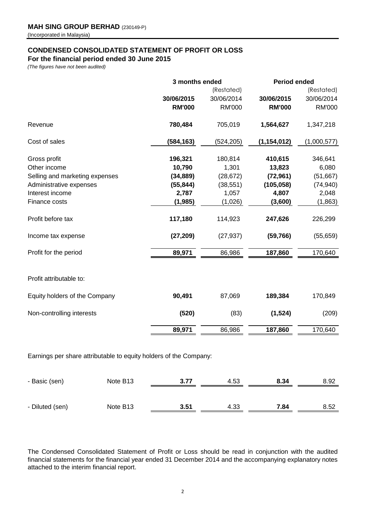# **CONDENSED CONSOLIDATED STATEMENT OF PROFIT OR LOSS**

**For the financial period ended 30 June 2015**

*(The figures have not been audited)*

|                                |               | 3 months ended |               | <b>Period ended</b> |
|--------------------------------|---------------|----------------|---------------|---------------------|
|                                |               | (Restated)     |               | (Restated)          |
|                                | 30/06/2015    | 30/06/2014     | 30/06/2015    | 30/06/2014          |
|                                | <b>RM'000</b> | <b>RM'000</b>  | <b>RM'000</b> | <b>RM'000</b>       |
| Revenue                        | 780,484       | 705,019        | 1,564,627     | 1,347,218           |
| Cost of sales                  | (584, 163)    | (524, 205)     | (1, 154, 012) | (1,000,577)         |
| Gross profit                   | 196,321       | 180,814        | 410,615       | 346,641             |
| Other income                   | 10,790        | 1,301          | 13,823        | 6,080               |
| Selling and marketing expenses | (34, 889)     | (28, 672)      | (72, 961)     | (51, 667)           |
| Administrative expenses        | (55, 844)     | (38, 551)      | (105, 058)    | (74, 940)           |
| Interest income                | 2,787         | 1,057          | 4,807         | 2,048               |
| Finance costs                  | (1,985)       | (1,026)        | (3,600)       | (1,863)             |
| Profit before tax              | 117,180       | 114,923        | 247,626       | 226,299             |
| Income tax expense             | (27, 209)     | (27, 937)      | (59, 766)     | (55, 659)           |
| Profit for the period          | 89,971        | 86,986         | 187,860       | 170,640             |
|                                |               |                |               |                     |
| Profit attributable to:        |               |                |               |                     |
| Equity holders of the Company  | 90,491        | 87,069         | 189,384       | 170,849             |
| Non-controlling interests      | (520)         | (83)           | (1, 524)      | (209)               |
|                                | 89,971        | 86,986         | 187,860       | 170,640             |
|                                |               |                |               |                     |

Earnings per share attributable to equity holders of the Company:

| - Basic (sen)   | Note B <sub>13</sub> | 3.77 | 4.53 | 8.34 | 8.92 |
|-----------------|----------------------|------|------|------|------|
|                 |                      |      |      |      |      |
| - Diluted (sen) | Note B <sub>13</sub> | 3.51 | 4.33 | 7.84 | 8.52 |

The Condensed Consolidated Statement of Profit or Loss should be read in conjunction with the audited financial statements for the financial year ended 31 December 2014 and the accompanying explanatory notes attached to the interim financial report.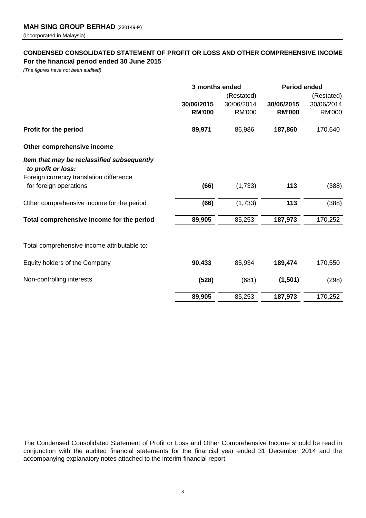# **CONDENSED CONSOLIDATED STATEMENT OF PROFIT OR LOSS AND OTHER COMPREHENSIVE INCOME For the financial period ended 30 June 2015**

*(The figures have not been audited)*

|                                                                  | 3 months ended |               | <b>Period ended</b> |               |  |
|------------------------------------------------------------------|----------------|---------------|---------------------|---------------|--|
|                                                                  |                | (Restated)    |                     | (Restated)    |  |
|                                                                  | 30/06/2015     | 30/06/2014    | 30/06/2015          | 30/06/2014    |  |
|                                                                  | <b>RM'000</b>  | <b>RM'000</b> | <b>RM'000</b>       | <b>RM'000</b> |  |
| Profit for the period                                            | 89,971         | 86,986        | 187,860             | 170,640       |  |
| Other comprehensive income                                       |                |               |                     |               |  |
| Item that may be reclassified subsequently<br>to profit or loss: |                |               |                     |               |  |
| Foreign currency translation difference                          |                |               |                     |               |  |
| for foreign operations                                           | (66)           | (1,733)       | 113                 | (388)         |  |
| Other comprehensive income for the period                        | (66)           | (1,733)       | 113                 | (388)         |  |
| Total comprehensive income for the period                        | 89,905         | 85,253        | 187,973             | 170,252       |  |
|                                                                  |                |               |                     |               |  |
| Total comprehensive income attributable to:                      |                |               |                     |               |  |
| Equity holders of the Company                                    | 90,433         | 85,934        | 189,474             | 170,550       |  |
| Non-controlling interests                                        | (528)          | (681)         | (1,501)             | (298)         |  |
|                                                                  | 89,905         | 85,253        | 187,973             | 170,252       |  |

The Condensed Consolidated Statement of Profit or Loss and Other Comprehensive Income should be read in conjunction with the audited financial statements for the financial year ended 31 December 2014 and the accompanying explanatory notes attached to the interim financial report.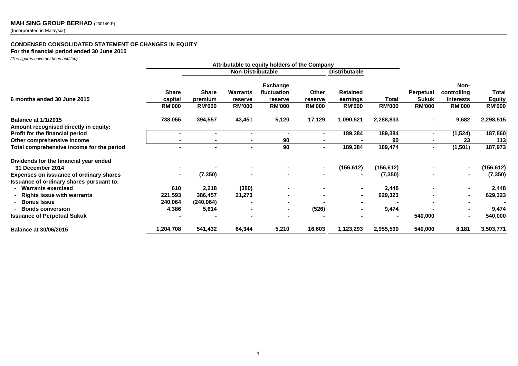# **MAH SING GROUP BERHAD** (230149-P)

(Incorporated in Malaysia)

# **CONDENSED CONSOLIDATED STATEMENT OF CHANGES IN EQUITY**

**For the financial period ended 30 June 2015**

*(The figures have not been audited)*

|                                                                     | Attributable to equity holders of the Company |                                          |                                             |                                                            |                                   |                                              |                        |                           |                                         |                                         |
|---------------------------------------------------------------------|-----------------------------------------------|------------------------------------------|---------------------------------------------|------------------------------------------------------------|-----------------------------------|----------------------------------------------|------------------------|---------------------------|-----------------------------------------|-----------------------------------------|
|                                                                     |                                               |                                          | <b>Non-Distributable</b>                    |                                                            |                                   | <b>Distributable</b>                         |                        |                           |                                         |                                         |
| 6 months ended 30 June 2015                                         | <b>Share</b><br>capital<br><b>RM'000</b>      | <b>Share</b><br>premium<br><b>RM'000</b> | <b>Warrants</b><br>reserve<br><b>RM'000</b> | <b>Exchange</b><br>fluctuation<br>reserve<br><b>RM'000</b> | Other<br>reserve<br><b>RM'000</b> | <b>Retained</b><br>earnings<br><b>RM'000</b> | Total<br><b>RM'000</b> | Perpetual<br><b>Sukuk</b> | Non-<br>controlling<br><i>interests</i> | Total<br><b>Equity</b><br><b>RM'000</b> |
|                                                                     |                                               |                                          |                                             |                                                            |                                   |                                              |                        | <b>RM'000</b>             | <b>RM'000</b>                           |                                         |
| <b>Balance at 1/1/2015</b><br>Amount recognised directly in equity: | 738,055                                       | 394,557                                  | 43,451                                      | 5,120                                                      | 17,129                            | 1,090,521                                    | 2,288,833              |                           | 9,682                                   | 2,298,515                               |
| Profit for the financial period                                     |                                               |                                          |                                             |                                                            |                                   | 189,384                                      | 189,384                |                           | (1,524)                                 | 187,860                                 |
| Other comprehensive income                                          |                                               | $\blacksquare$                           | $\blacksquare$                              | 90                                                         |                                   |                                              | 90                     |                           | 23                                      | 113                                     |
| Total comprehensive income for the period                           | $\blacksquare$                                | ۰.                                       | $\sim$                                      | 90                                                         | ۰.                                | 189,384                                      | 189,474                | $\blacksquare$            | (1, 501)                                | 187,973                                 |
| Dividends for the financial year ended                              |                                               |                                          |                                             |                                                            |                                   |                                              |                        |                           |                                         |                                         |
| 31 December 2014                                                    |                                               |                                          |                                             |                                                            | ۰.                                | (156, 612)                                   | (156, 612)             |                           |                                         | (156, 612)                              |
| Expenses on issuance of ordinary shares                             |                                               | (7, 350)                                 |                                             |                                                            |                                   |                                              | (7, 350)               |                           |                                         | (7, 350)                                |
| Issuance of ordinary shares pursuant to:                            |                                               |                                          |                                             |                                                            |                                   |                                              |                        |                           |                                         |                                         |
| - Warrants exercised                                                | 610                                           | 2,218                                    | (380)                                       |                                                            |                                   |                                              | 2,448                  |                           |                                         | 2,448                                   |
| <b>Rights Issue with warrants</b>                                   | 221,593                                       | 386,457                                  | 21,273                                      |                                                            |                                   | $\sim$                                       | 629,323                |                           |                                         | 629,323                                 |
| <b>Bonus Issue</b>                                                  | 240,064                                       | (240, 064)                               |                                             |                                                            |                                   |                                              |                        |                           |                                         |                                         |
| <b>Bonds conversion</b>                                             | 4,386                                         | 5,614                                    |                                             | ۰.                                                         | (526)                             | ۰                                            | 9,474                  |                           |                                         | 9,474                                   |
| <b>Issuance of Perpetual Sukuk</b>                                  |                                               |                                          |                                             |                                                            |                                   |                                              | $\blacksquare$         | 540,000                   |                                         | 540,000                                 |
| <b>Balance at 30/06/2015</b>                                        | 1,204,708                                     | 541,432                                  | 64,344                                      | 5,210                                                      | 16,603                            | 1,123,293                                    | 2,955,590              | 540,000                   | 8,181                                   | 3,503,771                               |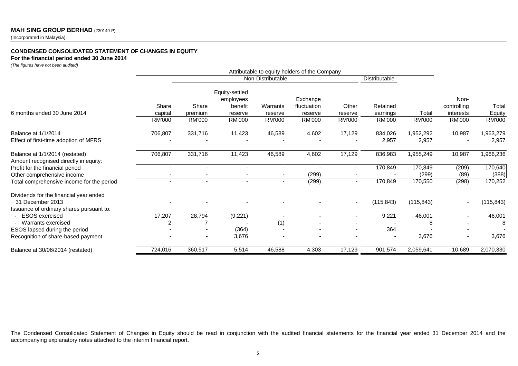# **MAH SING GROUP BERHAD** (230149-P)

(Incorporated in Malaysia)

#### **CONDENSED CONSOLIDATED STATEMENT OF CHANGES IN EQUITY**

#### **For the financial period ended 30 June 2014**

*(The figures have not been audited)*

|                                                                         | Attributable to equity holders of the Company |                          |                                                   |                     |                                    |                          |                      |            |                                  |                 |
|-------------------------------------------------------------------------|-----------------------------------------------|--------------------------|---------------------------------------------------|---------------------|------------------------------------|--------------------------|----------------------|------------|----------------------------------|-----------------|
|                                                                         |                                               |                          |                                                   | Non-Distributable   |                                    |                          | Distributable        |            |                                  |                 |
| 6 months ended 30 June 2014                                             | Share<br>capital                              | Share<br>premium         | Equity-settled<br>employees<br>benefit<br>reserve | Warrants<br>reserve | Exchange<br>fluctuation<br>reserve | Other<br>reserve         | Retained<br>earnings | Total      | Non-<br>controlling<br>interests | Total<br>Equity |
|                                                                         | <b>RM'000</b>                                 | RM'000                   | <b>RM'000</b>                                     | RM'000              | <b>RM'000</b>                      | <b>RM'000</b>            | <b>RM'000</b>        | RM'000     | <b>RM'000</b>                    | <b>RM'000</b>   |
| <b>Balance at 1/1/2014</b>                                              | 706,807                                       | 331,716                  | 11,423                                            | 46,589              | 4,602                              | 17,129                   | 834,026              | 1,952,292  | 10,987                           | 1,963,279       |
| Effect of first-time adoption of MFRS                                   |                                               |                          |                                                   |                     |                                    |                          | 2,957                | 2,957      |                                  | 2,957           |
| Balance at 1/1/2014 (restated)<br>Amount recognised directly in equity: | 706,807                                       | 331,716                  | 11,423                                            | 46,589              | 4,602                              | 17,129                   | 836,983              | 1,955,249  | 10,987                           | 1,966,236       |
| Profit for the financial period                                         |                                               |                          |                                                   |                     |                                    | ٠                        | 170,849              | 170,849    | (209)                            | 170,640         |
| Other comprehensive income                                              |                                               |                          |                                                   |                     | (299)                              |                          |                      | (299)      | (89)                             | (388)           |
| Total comprehensive income for the period                               |                                               |                          |                                                   |                     | (299)                              | $\overline{\phantom{0}}$ | 170,849              | 170,550    | (298)                            | 170,252         |
| Dividends for the financial year ended                                  |                                               |                          |                                                   |                     |                                    |                          |                      |            |                                  |                 |
| 31 December 2013                                                        |                                               |                          |                                                   |                     |                                    |                          | (115, 843)           | (115, 843) |                                  | (115, 843)      |
| Issuance of ordinary shares pursuant to:                                |                                               |                          |                                                   |                     |                                    |                          |                      |            |                                  |                 |
| <b>ESOS</b> exercised                                                   | 17,207                                        | 28,794                   | (9,221)                                           |                     |                                    |                          | 9,221                | 46,001     |                                  | 46,001          |
| - Warrants exercised                                                    | 2                                             |                          |                                                   | (1)                 |                                    |                          |                      |            |                                  |                 |
| ESOS lapsed during the period                                           |                                               |                          | (364)                                             |                     |                                    | $\overline{\phantom{a}}$ | 364                  |            |                                  |                 |
| Recognition of share-based payment                                      |                                               | $\overline{\phantom{a}}$ | 3,676                                             |                     |                                    |                          |                      | 3,676      |                                  | 3,676           |
| Balance at 30/06/2014 (restated)                                        | 724,016                                       | 360,517                  | 5,514                                             | 46,588              | 4,303                              | 17,129                   | 901,574              | 2,059,641  | 10,689                           | 2,070,330       |

The Condensed Consolidated Statement of Changes in Equity should be read in conjunction with the audited financial statements for the financial year ended 31 December 2014 and the accompanying explanatory notes attached to the interim financial report.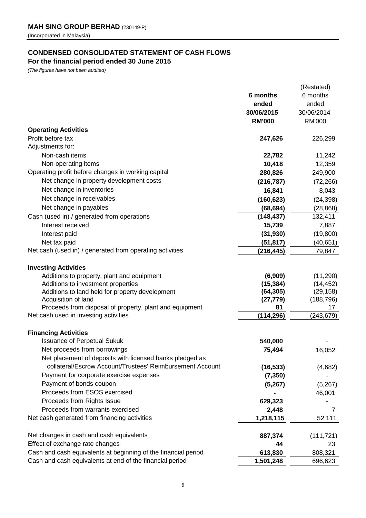# **CONDENSED CONSOLIDATED STATEMENT OF CASH FLOWS**

**For the financial period ended 30 June 2015**

*(The figures have not been audited)*

|                                                                |               | (Restated)    |
|----------------------------------------------------------------|---------------|---------------|
|                                                                | 6 months      | 6 months      |
|                                                                | ended         | ended         |
|                                                                | 30/06/2015    | 30/06/2014    |
|                                                                | <b>RM'000</b> | <b>RM'000</b> |
| <b>Operating Activities</b>                                    |               |               |
| Profit before tax                                              | 247,626       | 226,299       |
| Adjustments for:                                               |               |               |
| Non-cash items                                                 | 22,782        | 11,242        |
| Non-operating items                                            | 10,418        | 12,359        |
| Operating profit before changes in working capital             | 280,826       | 249,900       |
| Net change in property development costs                       | (216, 787)    | (72, 266)     |
| Net change in inventories                                      | 16,841        | 8,043         |
| Net change in receivables                                      | (160, 623)    | (24, 398)     |
| Net change in payables                                         | (68, 694)     | (28, 868)     |
| Cash (used in) / generated from operations                     | (148, 437)    | 132,411       |
| Interest received                                              | 15,739        | 7,887         |
|                                                                | (31, 930)     | (19,800)      |
| Interest paid<br>Net tax paid                                  | (51, 817)     | (40, 651)     |
| Net cash (used in) / generated from operating activities       | (216, 445)    | 79,847        |
|                                                                |               |               |
| <b>Investing Activities</b>                                    |               |               |
| Additions to property, plant and equipment                     | (6,909)       | (11, 290)     |
| Additions to investment properties                             | (15, 384)     | (14, 452)     |
| Additions to land held for property development                | (64, 305)     | (29, 158)     |
| Acquisition of land                                            | (27, 779)     | (188, 796)    |
| Proceeds from disposal of property, plant and equipment        | 81            | 17            |
| Net cash used in investing activities                          | (114, 296)    | (243, 679)    |
|                                                                |               |               |
| <b>Financing Activities</b>                                    |               |               |
| <b>Issuance of Perpetual Sukuk</b>                             | 540,000       |               |
| Net proceeds from borrowings                                   | 75,494        | 16,052        |
| Net placement of deposits with licensed banks pledged as       |               |               |
| collateral/Escrow Account/Trustees' Reimbursement Account      | (16, 533)     | (4,682)       |
| Payment for corporate exercise expenses                        | (7, 350)      |               |
| Payment of bonds coupon                                        | (5,267)       | (5,267)       |
| Proceeds from ESOS exercised                                   |               | 46,001        |
| Proceeds from Rights Issue                                     | 629,323       |               |
| Proceeds from warrants exercised                               | 2,448         | 7             |
| Net cash generated from financing activities                   | 1,218,115     | 52,111        |
|                                                                |               |               |
| Net changes in cash and cash equivalents                       | 887,374       | (111, 721)    |
| Effect of exchange rate changes                                | 44            | 23            |
| Cash and cash equivalents at beginning of the financial period | 613,830       | 808,321       |
| Cash and cash equivalents at end of the financial period       | 1,501,248     | 696,623       |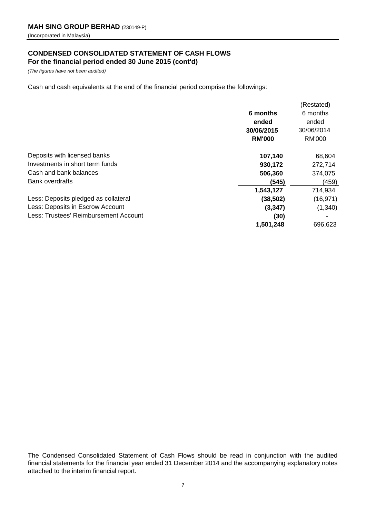# **CONDENSED CONSOLIDATED STATEMENT OF CASH FLOWS For the financial period ended 30 June 2015 (cont'd)**

*(The figures have not been audited)*

Cash and cash equivalents at the end of the financial period comprise the followings:

|                                       |               | (Restated)    |
|---------------------------------------|---------------|---------------|
|                                       | 6 months      | 6 months      |
|                                       | ended         | ended         |
|                                       | 30/06/2015    | 30/06/2014    |
|                                       | <b>RM'000</b> | <b>RM'000</b> |
| Deposits with licensed banks          | 107,140       | 68,604        |
| Investments in short term funds       | 930,172       | 272,714       |
| Cash and bank balances                | 506,360       | 374,075       |
| <b>Bank overdrafts</b>                | (545)         | (459)         |
|                                       | 1,543,127     | 714,934       |
| Less: Deposits pledged as collateral  | (38, 502)     | (16, 971)     |
| Less: Deposits in Escrow Account      | (3, 347)      | (1, 340)      |
| Less: Trustees' Reimbursement Account | (30)          |               |
|                                       | 1,501,248     | 696,623       |
|                                       |               |               |

The Condensed Consolidated Statement of Cash Flows should be read in conjunction with the audited financial statements for the financial year ended 31 December 2014 and the accompanying explanatory notes attached to the interim financial report.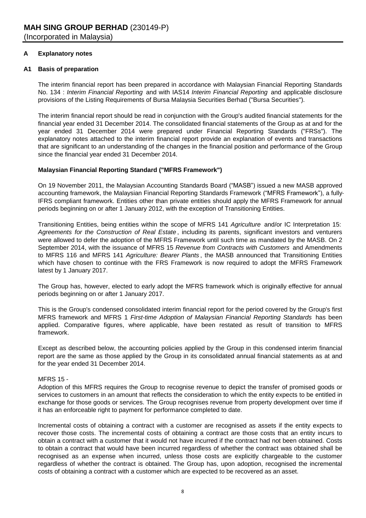# **A Explanatory notes**

# **A1 Basis of preparation**

The interim financial report has been prepared in accordance with Malaysian Financial Reporting Standards No. 134 : *Interim Financial Reporting* and with IAS14 *Interim Financial Reporting* and applicable disclosure provisions of the Listing Requirements of Bursa Malaysia Securities Berhad ("Bursa Securities").

The interim financial report should be read in conjunction with the Group's audited financial statements for the financial year ended 31 December 2014. The consolidated financial statements of the Group as at and for the year ended 31 December 2014 were prepared under Financial Reporting Standards ("FRSs"). The explanatory notes attached to the interim financial report provide an explanation of events and transactions that are significant to an understanding of the changes in the financial position and performance of the Group since the financial year ended 31 December 2014.

# **Malaysian Financial Reporting Standard ("MFRS Framework")**

On 19 November 2011, the Malaysian Accounting Standards Board ("MASB") issued a new MASB approved accounting framework, the Malaysian Financial Reporting Standards Framework ("MFRS Framework"), a fully-IFRS compliant framework. Entities other than private entities should apply the MFRS Framework for annual periods beginning on or after 1 January 2012, with the exception of Transitioning Entities.

Transitioning Entities, being entities within the scope of MFRS 141 *Agriculture* and/or IC Interpretation 15: *Agreements for the Construction of Real Estate* , including its parents, significant investors and venturers were allowed to defer the adoption of the MFRS Framework until such time as mandated by the MASB. On 2 September 2014, with the issuance of MFRS 15 *Revenue from Contracts with Customers* and Amendments to MFRS 116 and MFRS 141 *Agriculture: Bearer Plants* , the MASB announced that Transitioning Entities which have chosen to continue with the FRS Framework is now required to adopt the MFRS Framework latest by 1 January 2017.

The Group has, however, elected to early adopt the MFRS framework which is originally effective for annual periods beginning on or after 1 January 2017.

This is the Group's condensed consolidated interim financial report for the period covered by the Group's first MFRS framework and MFRS 1 *First-time Adoption of Malaysian Financial Reporting Standards* has been applied. Comparative figures, where applicable, have been restated as result of transition to MFRS framework.

Except as described below, the accounting policies applied by the Group in this condensed interim financial report are the same as those applied by the Group in its consolidated annual financial statements as at and for the year ended 31 December 2014.

# MFRS 15 -

Adoption of this MFRS requires the Group to recognise revenue to depict the transfer of promised goods or services to customers in an amount that reflects the consideration to which the entity expects to be entitled in exchange for those goods or services. The Group recognises revenue from property development over time if it has an enforceable right to payment for performance completed to date.

Incremental costs of obtaining a contract with a customer are recognised as assets if the entity expects to recover those costs. The incremental costs of obtaining a contract are those costs that an entity incurs to obtain a contract with a customer that it would not have incurred if the contract had not been obtained. Costs to obtain a contract that would have been incurred regardless of whether the contract was obtained shall be recognised as an expense when incurred, unless those costs are explicitly chargeable to the customer regardless of whether the contract is obtained. The Group has, upon adoption, recognised the incremental costs of obtaining a contract with a customer which are expected to be recovered as an asset.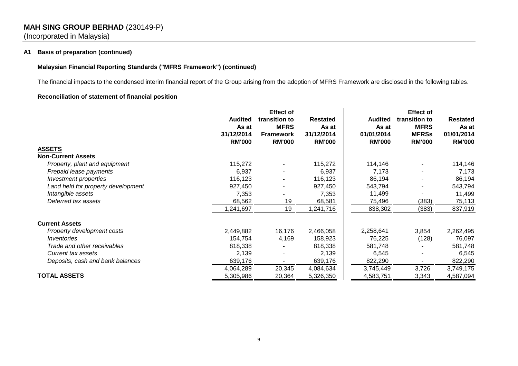# **MAH SING GROUP BERHAD** (230149-P) (Incorporated in Malaysia)

# **A1 Basis of preparation (continued)**

# **Malaysian Financial Reporting Standards ("MFRS Framework") (continued)**

The financial impacts to the condensed interim financial report of the Group arising from the adoption of MFRS Framework are disclosed in the following tables.

# **Reconciliation of statement of financial position**

|                                    | <b>Effect of</b>        |                              |                          |                         |                              |                          |
|------------------------------------|-------------------------|------------------------------|--------------------------|-------------------------|------------------------------|--------------------------|
|                                    | <b>Audited</b><br>As at | transition to<br><b>MFRS</b> | <b>Restated</b><br>As at | <b>Audited</b><br>As at | transition to<br><b>MFRS</b> | <b>Restated</b><br>As at |
|                                    | 31/12/2014              | <b>Framework</b>             | 31/12/2014               | 01/01/2014              | <b>MFRSs</b>                 | 01/01/2014               |
|                                    | <b>RM'000</b>           | <b>RM'000</b>                | <b>RM'000</b>            | <b>RM'000</b>           | <b>RM'000</b>                | <b>RM'000</b>            |
| <b>ASSETS</b>                      |                         |                              |                          |                         |                              |                          |
| <b>Non-Current Assets</b>          |                         |                              |                          |                         |                              |                          |
| Property, plant and equipment      | 115,272                 |                              | 115,272                  | 114,146                 |                              | 114,146                  |
| Prepaid lease payments             | 6,937                   |                              | 6,937                    | 7,173                   |                              | 7,173                    |
| Investment properties              | 116,123                 |                              | 116,123                  | 86,194                  |                              | 86,194                   |
| Land held for property development | 927,450                 |                              | 927,450                  | 543,794                 |                              | 543,794                  |
| Intangible assets                  | 7,353                   |                              | 7,353                    | 11,499                  |                              | 11,499                   |
| Deferred tax assets                | 68,562                  | 19                           | 68,581                   | 75,496                  | (383)                        | 75,113                   |
|                                    | 1,241,697               | 19                           | 1,241,716                | 838,302                 | (383)                        | 837,919                  |
| <b>Current Assets</b>              |                         |                              |                          |                         |                              |                          |
| Property development costs         | 2,449,882               | 16,176                       | 2,466,058                | 2,258,641               | 3,854                        | 2,262,495                |
| Inventories                        | 154,754                 | 4,169                        | 158,923                  | 76,225                  | (128)                        | 76,097                   |
| Trade and other receivables        | 818,338                 |                              | 818,338                  | 581,748                 |                              | 581,748                  |
| Current tax assets                 | 2,139                   |                              | 2,139                    | 6,545                   |                              | 6,545                    |
| Deposits, cash and bank balances   | 639,176                 |                              | 639,176                  | 822,290                 |                              | 822,290                  |
|                                    | 4,064,289               | 20,345                       | 4,084,634                | 3,745,449               | 3,726                        | 3,749,175                |
| <b>TOTAL ASSETS</b>                | 5,305,986               | 20,364                       | 5,326,350                | 4,583,751               | 3,343                        | 4,587,094                |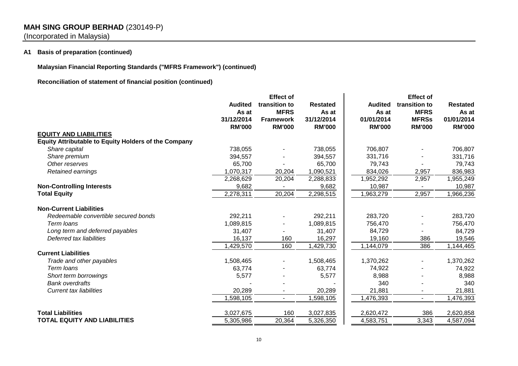# **MAH SING GROUP BERHAD** (230149-P)

(Incorporated in Malaysia)

# **A1 Basis of preparation (continued)**

**Malaysian Financial Reporting Standards ("MFRS Framework") (continued)**

**Reconciliation of statement of financial position (continued)**

|                                                             | <b>Audited</b><br>As at<br>31/12/2014<br><b>RM'000</b> | <b>Effect of</b><br>transition to<br><b>MFRS</b><br><b>Framework</b><br><b>RM'000</b> | <b>Restated</b><br>As at<br>31/12/2014<br><b>RM'000</b> | <b>Audited</b><br>As at<br>01/01/2014<br><b>RM'000</b> | <b>Effect of</b><br>transition to<br><b>MFRS</b><br><b>MFRSs</b><br><b>RM'000</b> | <b>Restated</b><br>As at<br>01/01/2014<br><b>RM'000</b> |
|-------------------------------------------------------------|--------------------------------------------------------|---------------------------------------------------------------------------------------|---------------------------------------------------------|--------------------------------------------------------|-----------------------------------------------------------------------------------|---------------------------------------------------------|
| <b>EQUITY AND LIABILITIES</b>                               |                                                        |                                                                                       |                                                         |                                                        |                                                                                   |                                                         |
| <b>Equity Attributable to Equity Holders of the Company</b> |                                                        |                                                                                       |                                                         |                                                        |                                                                                   |                                                         |
| Share capital                                               | 738,055                                                |                                                                                       | 738,055                                                 | 706,807                                                |                                                                                   | 706,807                                                 |
| Share premium                                               | 394,557                                                |                                                                                       | 394,557                                                 | 331,716                                                |                                                                                   | 331,716                                                 |
| Other reserves                                              | 65,700                                                 |                                                                                       | 65,700                                                  | 79,743                                                 |                                                                                   | 79,743                                                  |
| Retained earnings                                           | 1,070,317                                              | 20,204                                                                                | 1,090,521                                               | 834,026                                                | 2,957                                                                             | 836,983                                                 |
|                                                             | 2,268,629                                              | 20,204                                                                                | 2,288,833                                               | 1,952,292                                              | 2,957                                                                             | 1,955,249                                               |
| <b>Non-Controlling Interests</b>                            | 9,682                                                  |                                                                                       | 9,682                                                   | 10,987                                                 |                                                                                   | 10,987                                                  |
| <b>Total Equity</b>                                         | 2,278,311                                              | 20,204                                                                                | 2,298,515                                               | 1,963,279                                              | 2,957                                                                             | 1,966,236                                               |
| <b>Non-Current Liabilities</b>                              |                                                        |                                                                                       |                                                         |                                                        |                                                                                   |                                                         |
| Redeemable convertible secured bonds                        | 292,211                                                |                                                                                       | 292,211                                                 | 283,720                                                |                                                                                   | 283,720                                                 |
| Term loans                                                  | 1,089,815                                              |                                                                                       | 1,089,815                                               | 756,470                                                |                                                                                   | 756,470                                                 |
| Long term and deferred payables                             | 31,407                                                 |                                                                                       | 31,407                                                  | 84,729                                                 |                                                                                   | 84,729                                                  |
| Deferred tax liabilities                                    | 16,137                                                 | 160                                                                                   | 16,297                                                  | 19,160                                                 | 386                                                                               | 19,546                                                  |
|                                                             | 1,429,570                                              | 160                                                                                   | 1,429,730                                               | 1,144,079                                              | 386                                                                               | 1,144,465                                               |
| <b>Current Liabilities</b>                                  |                                                        |                                                                                       |                                                         |                                                        |                                                                                   |                                                         |
| Trade and other payables                                    | 1,508,465                                              |                                                                                       | 1,508,465                                               | 1,370,262                                              |                                                                                   | 1,370,262                                               |
| Term loans                                                  | 63,774                                                 |                                                                                       | 63,774                                                  | 74,922                                                 |                                                                                   | 74,922                                                  |
| Short term borrowings                                       | 5,577                                                  |                                                                                       | 5,577                                                   | 8,988                                                  |                                                                                   | 8,988                                                   |
| <b>Bank overdrafts</b>                                      |                                                        |                                                                                       |                                                         | 340                                                    |                                                                                   | 340                                                     |
| <b>Current tax liabilities</b>                              | 20,289                                                 |                                                                                       | 20,289                                                  | 21,881                                                 |                                                                                   | 21,881                                                  |
|                                                             | 1,598,105                                              | $\sim$                                                                                | 1,598,105                                               | 1,476,393                                              | $\overline{a}$                                                                    | 1,476,393                                               |
| <b>Total Liabilities</b>                                    | 3,027,675                                              | 160                                                                                   | 3,027,835                                               | 2,620,472                                              | 386                                                                               | 2,620,858                                               |
| <b>TOTAL EQUITY AND LIABILITIES</b>                         | 5,305,986                                              | 20,364                                                                                | 5,326,350                                               | 4,583,751                                              | 3,343                                                                             | 4,587,094                                               |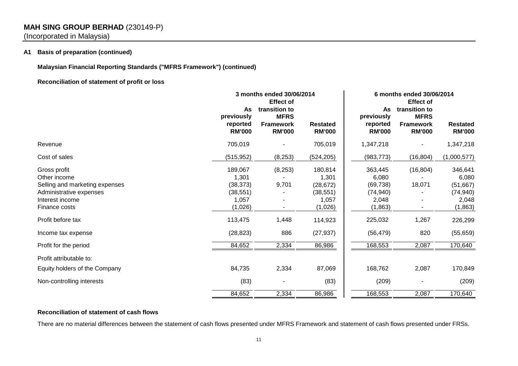# **MAH SING GROUP BERHAD** (230149-P)

(Incorporated in Malaysia)

# **A1 Basis of preparation (continued)**

**Malaysian Financial Reporting Standards ("MFRS Framework") (continued)**

# **Reconciliation of statement of profit or loss**

|                                                                                                                               | 3 months ended 30/06/2014                                      |                                                                                       |                                                                | 6 months ended 30/06/2014<br><b>Effect of</b>                  |                                                                   |                                                                 |  |
|-------------------------------------------------------------------------------------------------------------------------------|----------------------------------------------------------------|---------------------------------------------------------------------------------------|----------------------------------------------------------------|----------------------------------------------------------------|-------------------------------------------------------------------|-----------------------------------------------------------------|--|
|                                                                                                                               | As<br>previously<br>reported<br><b>RM'000</b>                  | <b>Effect of</b><br>transition to<br><b>MFRS</b><br><b>Framework</b><br><b>RM'000</b> | <b>Restated</b><br><b>RM'000</b>                               | As<br>previously<br>reported<br><b>RM'000</b>                  | transition to<br><b>MFRS</b><br><b>Framework</b><br><b>RM'000</b> | <b>Restated</b><br><b>RM'000</b>                                |  |
| Revenue                                                                                                                       | 705,019                                                        |                                                                                       | 705,019                                                        | 1,347,218                                                      |                                                                   | 1,347,218                                                       |  |
| Cost of sales                                                                                                                 | (515, 952)                                                     | (8, 253)                                                                              | (524, 205)                                                     | (983, 773)                                                     | (16, 804)                                                         | (1,000,577)                                                     |  |
| Gross profit<br>Other income<br>Selling and marketing expenses<br>Administrative expenses<br>Interest income<br>Finance costs | 189,067<br>1,301<br>(38, 373)<br>(38, 551)<br>1,057<br>(1,026) | (8, 253)<br>9,701<br>$\overline{\phantom{a}}$                                         | 180,814<br>1,301<br>(28, 672)<br>(38, 551)<br>1,057<br>(1,026) | 363,445<br>6,080<br>(69, 738)<br>(74, 940)<br>2,048<br>(1,863) | (16, 804)<br>18,071                                               | 346,641<br>6,080<br>(51, 667)<br>(74, 940)<br>2,048<br>(1, 863) |  |
| Profit before tax                                                                                                             | 113,475                                                        | 1,448                                                                                 | 114,923                                                        | 225,032                                                        | 1,267                                                             | 226,299                                                         |  |
| Income tax expense                                                                                                            | (28, 823)                                                      | 886                                                                                   | (27, 937)                                                      | (56, 479)                                                      | 820                                                               | (55, 659)                                                       |  |
| Profit for the period                                                                                                         | 84,652                                                         | 2,334                                                                                 | 86,986                                                         | 168,553                                                        | 2,087                                                             | 170,640                                                         |  |
| Profit attributable to:                                                                                                       |                                                                |                                                                                       |                                                                |                                                                |                                                                   |                                                                 |  |
| Equity holders of the Company                                                                                                 | 84,735                                                         | 2,334                                                                                 | 87,069                                                         | 168,762                                                        | 2,087                                                             | 170,849                                                         |  |
| Non-controlling interests                                                                                                     | (83)                                                           |                                                                                       | (83)                                                           | (209)                                                          |                                                                   | (209)                                                           |  |
|                                                                                                                               | 84,652                                                         | 2,334                                                                                 | 86,986                                                         | 168,553                                                        | 2,087                                                             | 170,640                                                         |  |

# **Reconciliation of statement of cash flows**

There are no material differences between the statement of cash flows presented under MFRS Framework and statement of cash flows presented under FRSs.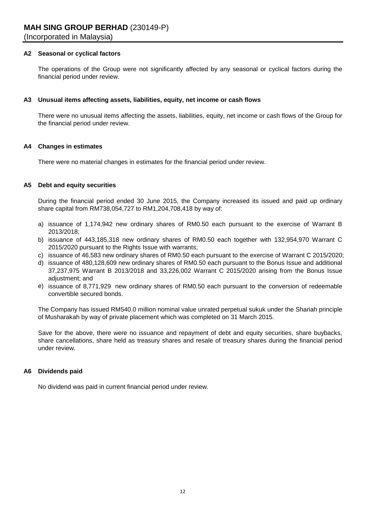# **A2 Seasonal or cyclical factors**

The operations of the Group were not significantly affected by any seasonal or cyclical factors during the financial period under review.

### **A3 Unusual items affecting assets, liabilities, equity, net income or cash flows**

There were no unusual items affecting the assets, liabilities, equity, net income or cash flows of the Group for the financial period under review.

#### **A4 Changes in estimates**

There were no material changes in estimates for the financial period under review.

# **A5 Debt and equity securities**

During the financial period ended 30 June 2015, the Company increased its issued and paid up ordinary share capital from RM738,054,727 to RM1,204,708,418 by way of:

- a) issuance of 1,174,942 new ordinary shares of RM0.50 each pursuant to the exercise of Warrant B 2013/2018;
- b) issuance of 443,185,318 new ordinary shares of RM0.50 each together with 132,954,970 Warrant C 2015/2020 pursuant to the Rights Issue with warrants;
- c) issuance of 46,583 new ordinary shares of RM0.50 each pursuant to the exercise of Warrant C 2015/2020;
- d) issuance of 480,128,609 new ordinary shares of RM0.50 each pursuant to the Bonus Issue and additional 37,237,975 Warrant B 2013/2018 and 33,226,002 Warrant C 2015/2020 arising from the Bonus Issue adjustment; and
- e) issuance of 8,771,929 new ordinary shares of RM0.50 each pursuant to the conversion of redeemable convertible secured bonds.

The Company has issued RM540.0 million nominal value unrated perpetual sukuk under the Shariah principle of Musharakah by way of private placement which was completed on 31 March 2015.

Save for the above, there were no issuance and repayment of debt and equity securities, share buybacks, share cancellations, share held as treasury shares and resale of treasury shares during the financial period under review.

# **A6 Dividends paid**

No dividend was paid in current financial period under review.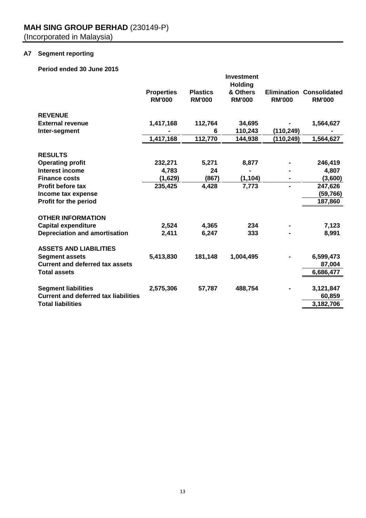# **A7 Segment reporting**

# **Period ended 30 June 2015**

|                                             |                   |                 | <b>Investment</b>          |                    |                     |
|---------------------------------------------|-------------------|-----------------|----------------------------|--------------------|---------------------|
|                                             | <b>Properties</b> | <b>Plastics</b> | <b>Holding</b><br>& Others | <b>Elimination</b> | <b>Consolidated</b> |
|                                             | <b>RM'000</b>     | <b>RM'000</b>   | <b>RM'000</b>              | <b>RM'000</b>      | <b>RM'000</b>       |
| <b>REVENUE</b>                              |                   |                 |                            |                    |                     |
| <b>External revenue</b>                     | 1,417,168         | 112,764         | 34,695                     |                    | 1,564,627           |
| Inter-segment                               |                   | 6               | 110,243                    | (110, 249)         |                     |
|                                             | 1,417,168         | 112,770         | 144,938                    | (110,249)          | 1,564,627           |
| <b>RESULTS</b>                              |                   |                 |                            |                    |                     |
| <b>Operating profit</b>                     | 232,271           | 5,271           | 8,877                      |                    | 246,419             |
| Interest income                             | 4,783             | 24              |                            |                    | 4,807               |
| <b>Finance costs</b>                        | (1,629)           | (867)           | (1, 104)                   |                    | (3,600)             |
| <b>Profit before tax</b>                    | 235,425           | 4,428           | 7,773                      | -                  | 247,626             |
| Income tax expense                          |                   |                 |                            |                    | (59,766)            |
| Profit for the period                       |                   |                 |                            |                    | 187,860             |
| <b>OTHER INFORMATION</b>                    |                   |                 |                            |                    |                     |
| <b>Capital expenditure</b>                  | 2,524             | 4,365           | 234                        |                    | 7,123               |
| <b>Depreciation and amortisation</b>        | 2,411             | 6,247           | 333                        |                    | 8,991               |
| <b>ASSETS AND LIABILITIES</b>               |                   |                 |                            |                    |                     |
| <b>Segment assets</b>                       | 5,413,830         | 181,148         | 1,004,495                  |                    | 6,599,473           |
| <b>Current and deferred tax assets</b>      |                   |                 |                            |                    | 87,004              |
| <b>Total assets</b>                         |                   |                 |                            |                    | 6,686,477           |
| <b>Segment liabilities</b>                  | 2,575,306         | 57,787          | 488,754                    |                    | 3,121,847           |
| <b>Current and deferred tax liabilities</b> |                   |                 |                            |                    | 60,859              |
| <b>Total liabilities</b>                    |                   |                 |                            |                    | 3,182,706           |
|                                             |                   |                 |                            |                    |                     |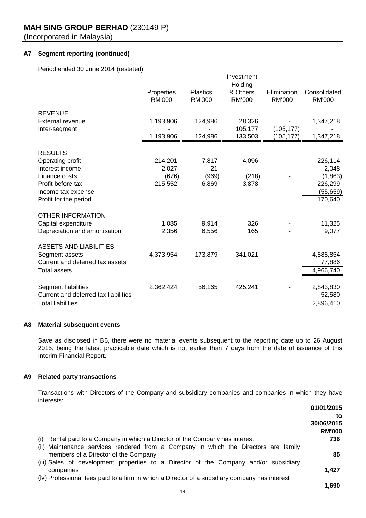# **A7 Segment reporting (continued)**

Period ended 30 June 2014 (restated)

|                                      |               |                 | Investment<br>Holding |               |               |
|--------------------------------------|---------------|-----------------|-----------------------|---------------|---------------|
|                                      | Properties    | <b>Plastics</b> | & Others              | Elimination   | Consolidated  |
|                                      | <b>RM'000</b> | <b>RM'000</b>   | <b>RM'000</b>         | <b>RM'000</b> | <b>RM'000</b> |
| <b>REVENUE</b>                       |               |                 |                       |               |               |
| <b>External revenue</b>              | 1,193,906     | 124,986         | 28,326                |               | 1,347,218     |
| Inter-segment                        |               |                 | 105,177               | (105, 177)    |               |
|                                      | 1,193,906     | 124,986         | 133,503               | (105,177)     | 1,347,218     |
| <b>RESULTS</b>                       |               |                 |                       |               |               |
| Operating profit                     | 214,201       | 7,817           | 4,096                 |               | 226,114       |
| Interest income                      | 2,027         | 21              |                       |               | 2,048         |
| Finance costs                        | (676)         | (969)           | (218)                 |               | (1,863)       |
| Profit before tax                    | 215,552       | 6,869           | 3,878                 |               | 226,299       |
| Income tax expense                   |               |                 |                       |               | (55, 659)     |
| Profit for the period                |               |                 |                       |               | 170,640       |
| <b>OTHER INFORMATION</b>             |               |                 |                       |               |               |
| Capital expenditure                  | 1,085         | 9,914           | 326                   |               | 11,325        |
| Depreciation and amortisation        | 2,356         | 6,556           | 165                   |               | 9,077         |
|                                      |               |                 |                       |               |               |
| <b>ASSETS AND LIABILITIES</b>        |               |                 |                       |               |               |
| Segment assets                       | 4,373,954     | 173,879         | 341,021               |               | 4,888,854     |
| Current and deferred tax assets      |               |                 |                       |               | 77,886        |
| <b>Total assets</b>                  |               |                 |                       |               | 4,966,740     |
| Segment liabilities                  | 2,362,424     | 56,165          | 425,241               |               | 2,843,830     |
| Current and deferred tax liabilities |               |                 |                       |               | 52,580        |
| <b>Total liabilities</b>             |               |                 |                       |               | 2,896,410     |

#### **A8 Material subsequent events**

Save as disclosed in B6, there were no material events subsequent to the reporting date up to 26 August 2015, being the latest practicable date which is not earlier than 7 days from the date of issuance of this Interim Financial Report.

# **A9 Related party transactions**

Transactions with Directors of the Company and subsidiary companies and companies in which they have interests:

|                                                                                               | 01/01/2015    |
|-----------------------------------------------------------------------------------------------|---------------|
|                                                                                               | to            |
|                                                                                               | 30/06/2015    |
|                                                                                               | <b>RM'000</b> |
| (i) Rental paid to a Company in which a Director of the Company has interest                  | 736           |
| (ii) Maintenance services rendered from a Company in which the Directors are family           |               |
| members of a Director of the Company                                                          | 85            |
| (iii) Sales of development properties to a Director of the Company and/or subsidiary          |               |
| companies                                                                                     | 1.427         |
| (iv) Professional fees paid to a firm in which a Director of a subsdiary company has interest |               |
|                                                                                               | 1,690         |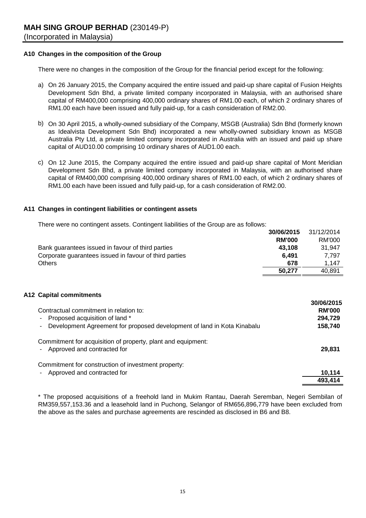# **A10 Changes in the composition of the Group**

There were no changes in the composition of the Group for the financial period except for the following:

- a) On 26 January 2015, the Company acquired the entire issued and paid-up share capital of Fusion Heights Development Sdn Bhd, a private limited company incorporated in Malaysia, with an authorised share capital of RM400,000 comprising 400,000 ordinary shares of RM1.00 each, of which 2 ordinary shares of RM1.00 each have been issued and fully paid-up, for a cash consideration of RM2.00.
- b) On 30 April 2015, a wholly-owned subsidiary of the Company, MSGB (Australia) Sdn Bhd (formerly known as Idealvista Development Sdn Bhd) incorporated a new wholly-owned subsidiary known as MSGB Australia Pty Ltd, a private limited company incorporated in Australia with an issued and paid up share capital of AUD10.00 comprising 10 ordinary shares of AUD1.00 each.
- c) On 12 June 2015, the Company acquired the entire issued and paid-up share capital of Mont Meridian Development Sdn Bhd, a private limited company incorporated in Malaysia, with an authorised share capital of RM400,000 comprising 400,000 ordinary shares of RM1.00 each, of which 2 ordinary shares of RM1.00 each have been issued and fully paid-up, for a cash consideration of RM2.00.

#### **A11 Changes in contingent liabilities or contingent assets**

There were no contingent assets. Contingent liabilities of the Group are as follows:

|                                                        | 30/06/2015    | 31/12/2014 |
|--------------------------------------------------------|---------------|------------|
|                                                        | <b>RM'000</b> | RM'000     |
| Bank guarantees issued in favour of third parties      | 43.108        | 31.947     |
| Corporate guarantees issued in favour of third parties | 6.491         | 7.797      |
| <b>Others</b>                                          | 678           | 1.147      |
|                                                        | 50.277        | 40.891     |

# **A12 Capital commitments**

| Contractual commitment in relation to:                                                                                                               | <b>JU/UDIZU IJ</b><br><b>RM'000</b> |
|------------------------------------------------------------------------------------------------------------------------------------------------------|-------------------------------------|
| - Proposed acquisition of land *                                                                                                                     | 294,729                             |
| - Development Agreement for proposed development of land in Kota Kinabalu                                                                            | 158,740                             |
| Commitment for acquisition of property, plant and equipment:<br>- Approved and contracted for<br>Commitment for construction of investment property: | 29.831                              |
| - Approved and contracted for                                                                                                                        | 10,114                              |
|                                                                                                                                                      | 493,414                             |

**30/06/2015**

\* The proposed acquisitions of a freehold land in Mukim Rantau, Daerah Seremban, Negeri Sembilan of RM359,557,153.36 and a leasehold land in Puchong, Selangor of RM656,896,779 have been excluded from the above as the sales and purchase agreements are rescinded as disclosed in B6 and B8.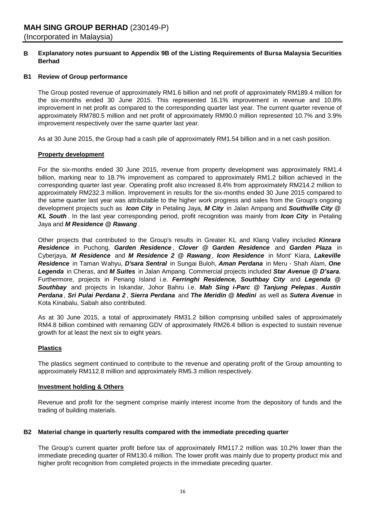#### **B Explanatory notes pursuant to Appendix 9B of the Listing Requirements of Bursa Malaysia Securities Berhad**

# **B1 Review of Group performance**

The Group posted revenue of approximately RM1.6 billion and net profit of approximately RM189.4 million for the six-months ended 30 June 2015. This represented 16.1% improvement in revenue and 10.8% improvement in net profit as compared to the corresponding quarter last year. The current quarter revenue of approximately RM780.5 million and net profit of approximately RM90.0 million represented 10.7% and 3.9% improvement respectively over the same quarter last year.

As at 30 June 2015, the Group had a cash pile of approximately RM1.54 billion and in a net cash position.

#### **Property development**

For the six-months ended 30 June 2015, revenue from property development was approximately RM1.4 billion, marking near to 18.7% improvement as compared to approximately RM1.2 billion achieved in the corresponding quarter last year. Operating profit also increased 8.4% from approximately RM214.2 million to approximately RM232.3 million. Improvement in results for the six-months ended 30 June 2015 compared to the same quarter last year was attributable to the higher work progress and sales from the Group's ongoing development projects such as *Icon City* in Petaling Jaya, *M City* in Jalan Ampang and *Southville City @ KL South* . In the last year corresponding period, profit recognition was mainly from *Icon City* in Petaling Jaya and *M Residence @ Rawang* .

Other projects that contributed to the Group's results in Greater KL and Klang Valley included *Kinrara Residence* in Puchong, *Garden Residence* , *Clover @ Garden Residence* and *Garden Plaza* in Cyberjaya, *M Residence* and *M Residence 2 @ Rawang* , *Icon Residence* in Mont' Kiara, *Lakeville Residence* in Taman Wahyu, *D'sara Sentral* in Sungai Buloh, *Aman Perdana* in Meru - Shah Alam, *One Legenda* in Cheras, and *M Suites* in Jalan Ampang. Commercial projects included *Star Avenue @ D'sara.* Furthermore, projects in Penang Island i.e. *Ferringhi Residence, Southbay City* and *Legenda @ Southbay* and projects in Iskandar, Johor Bahru i.e. *Mah Sing i-Parc @ Tanjung Pelepas* , *Austin Perdana* , *Sri Pulai Perdana 2* , *Sierra Perdana* and *The Meridin @ Medini* as well as *Sutera Avenue* in Kota Kinabalu, Sabah also contributed.

As at 30 June 2015, a total of approximately RM31.2 billion comprising unbilled sales of approximately RM4.8 billion combined with remaining GDV of approximately RM26.4 billion is expected to sustain revenue growth for at least the next six to eight years.

# **Plastics**

The plastics segment continued to contribute to the revenue and operating profit of the Group amounting to approximately RM112.8 million and approximately RM5.3 million respectively.

### **Investment holding & Others**

Revenue and profit for the segment comprise mainly interest income from the depository of funds and the trading of building materials.

#### **B2 Material change in quarterly results compared with the immediate preceding quarter**

The Group's current quarter profit before tax of approximately RM117.2 million was 10.2% lower than the immediate preceding quarter of RM130.4 million. The lower profit was mainly due to property product mix and higher profit recognition from completed projects in the immediate preceding quarter.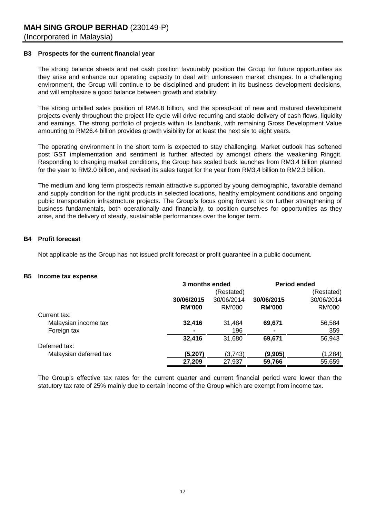# **B3 Prospects for the current financial year**

The strong balance sheets and net cash position favourably position the Group for future opportunities as they arise and enhance our operating capacity to deal with unforeseen market changes. In a challenging environment, the Group will continue to be disciplined and prudent in its business development decisions, and will emphasize a good balance between growth and stability.

The strong unbilled sales position of RM4.8 billion, and the spread-out of new and matured development projects evenly throughout the project life cycle will drive recurring and stable delivery of cash flows, liquidity and earnings. The strong portfolio of projects within its landbank, with remaining Gross Development Value amounting to RM26.4 billion provides growth visibility for at least the next six to eight years.

The operating environment in the short term is expected to stay challenging. Market outlook has softened post GST implementation and sentiment is further affected by amongst others the weakening Ringgit. Responding to changing market conditions, the Group has scaled back launches from RM3.4 billion planned for the year to RM2.0 billion, and revised its sales target for the year from RM3.4 billion to RM2.3 billion.

The medium and long term prospects remain attractive supported by young demographic, favorable demand and supply condition for the right products in selected locations, healthy employment conditions and ongoing public transportation infrastructure projects. The Group's focus going forward is on further strengthening of business fundamentals, both operationally and financially, to position ourselves for opportunities as they arise, and the delivery of steady, sustainable performances over the longer term.

#### **B4 Profit forecast**

Not applicable as the Group has not issued profit forecast or profit guarantee in a public document.

#### **B5 Income tax expense**

|                        |                | 3 months ended |               | <b>Period ended</b> |  |
|------------------------|----------------|----------------|---------------|---------------------|--|
|                        |                | (Restated)     |               | (Restated)          |  |
|                        | 30/06/2015     | 30/06/2014     | 30/06/2015    | 30/06/2014          |  |
|                        | <b>RM'000</b>  | RM'000         | <b>RM'000</b> | RM'000              |  |
| Current tax:           |                |                |               |                     |  |
| Malaysian income tax   | 32,416         | 31,484         | 69,671        | 56,584              |  |
| Foreign tax            | $\blacksquare$ | 196            |               | 359                 |  |
|                        | 32,416         | 31,680         | 69,671        | 56,943              |  |
| Deferred tax:          |                |                |               |                     |  |
| Malaysian deferred tax | (5,207)        | (3,743)        | (9,905)       | (1, 284)            |  |
|                        | 27,209         | 27,937         | 59,766        | 55,659              |  |
|                        |                |                |               |                     |  |

The Group's effective tax rates for the current quarter and current financial period were lower than the statutory tax rate of 25% mainly due to certain income of the Group which are exempt from income tax.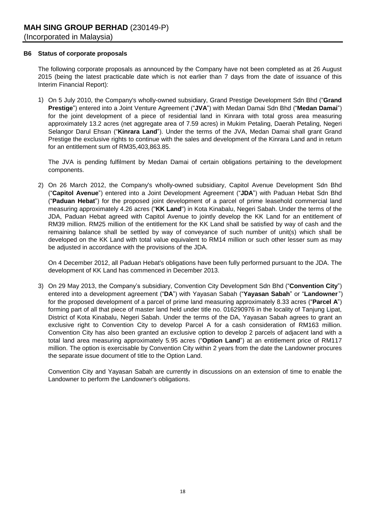### **B6 Status of corporate proposals**

The following corporate proposals as announced by the Company have not been completed as at 26 August 2015 (being the latest practicable date which is not earlier than 7 days from the date of issuance of this Interim Financial Report):

1) On 5 July 2010, the Company's wholly-owned subsidiary, Grand Prestige Development Sdn Bhd ("**Grand Prestige**") entered into a Joint Venture Agreement ("**JVA**") with Medan Damai Sdn Bhd ("**Medan Damai**") for the joint development of a piece of residential land in Kinrara with total gross area measuring approximately 13.2 acres (net aggregate area of 7.59 acres) in Mukim Petaling, Daerah Petaling, Negeri Selangor Darul Ehsan ("**Kinrara Land**"). Under the terms of the JVA, Medan Damai shall grant Grand Prestige the exclusive rights to continue with the sales and development of the Kinrara Land and in return for an entitlement sum of RM35,403,863.85.

The JVA is pending fulfilment by Medan Damai of certain obligations pertaining to the development components.

2) On 26 March 2012, the Company's wholly-owned subsidiary, Capitol Avenue Development Sdn Bhd ("**Capitol Avenue**") entered into a Joint Development Agreement ("**JDA**") with Paduan Hebat Sdn Bhd ("**Paduan Hebat**") for the proposed joint development of a parcel of prime leasehold commercial land measuring approximately 4.26 acres ("**KK Land**") in Kota Kinabalu, Negeri Sabah. Under the terms of the JDA, Paduan Hebat agreed with Capitol Avenue to jointly develop the KK Land for an entitlement of RM39 million. RM25 million of the entitlement for the KK Land shall be satisfied by way of cash and the remaining balance shall be settled by way of conveyance of such number of unit(s) which shall be developed on the KK Land with total value equivalent to RM14 million or such other lesser sum as may be adjusted in accordance with the provisions of the JDA.

On 4 December 2012, all Paduan Hebat's obligations have been fully performed pursuant to the JDA. The development of KK Land has commenced in December 2013.

3) On 29 May 2013, the Company's subsidiary, Convention City Development Sdn Bhd ("**Convention City**") entered into a development agreement ("**DA**") with Yayasan Sabah ("**Yayasan Sabah**" or "**Landowner**") for the proposed development of a parcel of prime land measuring approximately 8.33 acres ("**Parcel A**") forming part of all that piece of master land held under title no. 016290976 in the locality of Tanjung Lipat, District of Kota Kinabalu, Negeri Sabah. Under the terms of the DA, Yayasan Sabah agrees to grant an exclusive right to Convention City to develop Parcel A for a cash consideration of RM163 million. Convention City has also been granted an exclusive option to develop 2 parcels of adjacent land with a total land area measuring approximately 5.95 acres ("**Option Land**") at an entitlement price of RM117 million. The option is exercisable by Convention City within 2 years from the date the Landowner procures the separate issue document of title to the Option Land.

Convention City and Yayasan Sabah are currently in discussions on an extension of time to enable the Landowner to perform the Landowner's obligations.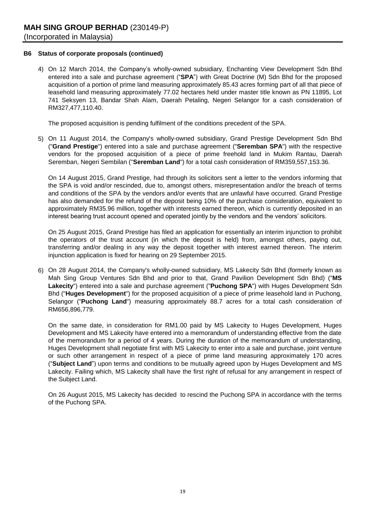# **B6 Status of corporate proposals (continued)**

4) On 12 March 2014, the Company's wholly-owned subsidiary, Enchanting View Development Sdn Bhd entered into a sale and purchase agreement ("**SPA**") with Great Doctrine (M) Sdn Bhd for the proposed acquisition of a portion of prime land measuring approximately 85.43 acres forming part of all that piece of leasehold land measuring approximately 77.02 hectares held under master title known as PN 11895, Lot 741 Seksyen 13, Bandar Shah Alam, Daerah Petaling, Negeri Selangor for a cash consideration of RM327,477,110.40.

The proposed acquisition is pending fulfilment of the conditions precedent of the SPA.

5) On 11 August 2014, the Company's wholly-owned subsidiary, Grand Prestige Development Sdn Bhd ("**Grand Prestige**") entered into a sale and purchase agreement ("**Seremban SPA**") with the respective vendors for the proposed acquisition of a piece of prime freehold land in Mukim Rantau, Daerah Seremban, Negeri Sembilan ("**Seremban Land**") for a total cash consideration of RM359,557,153.36.

On 14 August 2015, Grand Prestige, had through its solicitors sent a letter to the vendors informing that the SPA is void and/or rescinded, due to, amongst others, misrepresentation and/or the breach of terms and conditions of the SPA by the vendors and/or events that are unlawful have occurred. Grand Prestige has also demanded for the refund of the deposit being 10% of the purchase consideration, equivalent to approximately RM35.96 million, together with interests earned thereon, which is currently deposited in an interest bearing trust account opened and operated jointly by the vendors and the vendors' solicitors.

On 25 August 2015, Grand Prestige has filed an application for essentially an interim injunction to prohibit the operators of the trust account (in which the deposit is held) from, amongst others, paying out, transferring and/or dealing in any way the deposit together with interest earned thereon. The interim injunction application is fixed for hearing on 29 September 2015.

6) On 28 August 2014, the Company's wholly-owned subsidiary, MS Lakecity Sdn Bhd (formerly known as Mah Sing Group Ventures Sdn Bhd and prior to that, Grand Pavilion Development Sdn Bhd) ("**MS Lakecity**") entered into a sale and purchase agreement ("**Puchong SPA**") with Huges Development Sdn Bhd ("**Huges Development**") for the proposed acquisition of a piece of prime leasehold land in Puchong, Selangor ("**Puchong Land**") measuring approximately 88.7 acres for a total cash consideration of RM656,896,779.

On the same date, in consideration for RM1.00 paid by MS Lakecity to Huges Development, Huges Development and MS Lakecity have entered into a memorandum of understanding effective from the date of the memorandum for a period of 4 years. During the duration of the memorandum of understanding, Huges Development shall negotiate first with MS Lakecity to enter into a sale and purchase, joint venture or such other arrangement in respect of a piece of prime land measuring approximately 170 acres ("**Subject Land**") upon terms and conditions to be mutually agreed upon by Huges Development and MS Lakecity. Failing which, MS Lakecity shall have the first right of refusal for any arrangement in respect of the Subject Land.

On 26 August 2015, MS Lakecity has decided to rescind the Puchong SPA in accordance with the terms of the Puchong SPA.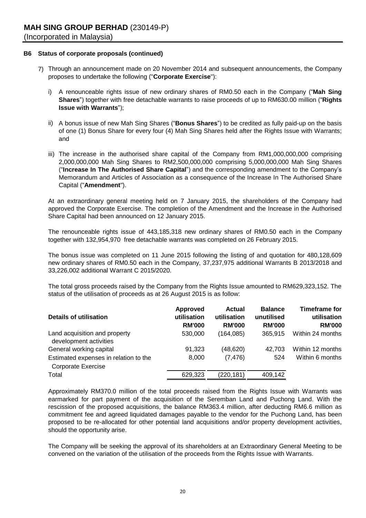# **B6 Status of corporate proposals (continued)**

- 7) Through an announcement made on 20 November 2014 and subsequent announcements, the Company proposes to undertake the following ("**Corporate Exercise**"):
	- i) A renounceable rights issue of new ordinary shares of RM0.50 each in the Company ("**Mah Sing Shares**") together with free detachable warrants to raise proceeds of up to RM630.00 million ("**Rights Issue with Warrants**");
	- ii) A bonus issue of new Mah Sing Shares ("**Bonus Shares**") to be credited as fully paid-up on the basis of one (1) Bonus Share for every four (4) Mah Sing Shares held after the Rights Issue with Warrants; and
	- iii) The increase in the authorised share capital of the Company from RM1,000,000,000 comprising 2,000,000,000 Mah Sing Shares to RM2,500,000,000 comprising 5,000,000,000 Mah Sing Shares ("**Increase In The Authorised Share Capital**") and the corresponding amendment to the Company's Memorandum and Articles of Association as a consequence of the Increase In The Authorised Share Capital ("**Amendment**").

At an extraordinary general meeting held on 7 January 2015, the shareholders of the Company had approved the Corporate Exercise. The completion of the Amendment and the Increase in the Authorised Share Capital had been announced on 12 January 2015.

The renounceable rights issue of 443,185,318 new ordinary shares of RM0.50 each in the Company together with 132,954,970 free detachable warrants was completed on 26 February 2015.

The bonus issue was completed on 11 June 2015 following the listing of and quotation for 480,128,609 new ordinary shares of RM0.50 each in the Company, 37,237,975 additional Warrants B 2013/2018 and 33,226,002 additional Warrant C 2015/2020.

The total gross proceeds raised by the Company from the Rights Issue amounted to RM629,323,152. The status of the utilisation of proceeds as at 26 August 2015 is as follow:

| Details of utilisation                                             | <b>Approved</b><br>utilisation<br><b>RM'000</b> | Actual<br>utilisation<br><b>RM'000</b> | <b>Balance</b><br>unutilised<br><b>RM'000</b> | <b>Timeframe for</b><br>utilisation<br><b>RM'000</b> |
|--------------------------------------------------------------------|-------------------------------------------------|----------------------------------------|-----------------------------------------------|------------------------------------------------------|
| Land acquisition and property<br>development activities            | 530,000                                         | (164, 085)                             | 365,915                                       | Within 24 months                                     |
| General working capital                                            | 91.323                                          | (48, 620)                              | 42.703                                        | Within 12 months                                     |
| Estimated expenses in relation to the<br><b>Corporate Exercise</b> | 8,000                                           | (7, 476)                               | 524                                           | Within 6 months                                      |
| Total                                                              | 629,323                                         | (220,181)                              | 409,142                                       |                                                      |

Approximately RM370.0 million of the total proceeds raised from the Rights Issue with Warrants was earmarked for part payment of the acquisition of the Seremban Land and Puchong Land. With the rescission of the proposed acquisitions, the balance RM363.4 million, after deducting RM6.6 million as commitment fee and agreed liquidated damages payable to the vendor for the Puchong Land, has been proposed to be re-allocated for other potential land acquisitions and/or property development activities, should the opportunity arise.

The Company will be seeking the approval of its shareholders at an Extraordinary General Meeting to be convened on the variation of the utilisation of the proceeds from the Rights Issue with Warrants.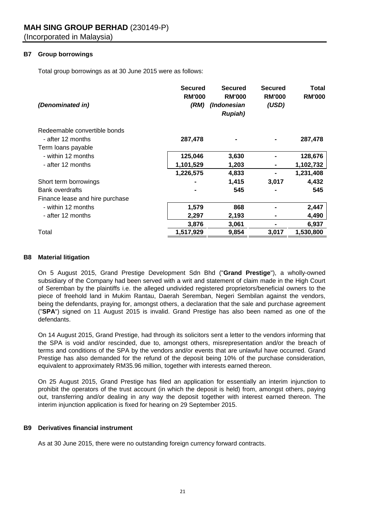# **B7 Group borrowings**

Total group borrowings as at 30 June 2015 were as follows:

| (Denominated in)                | <b>Secured</b><br><b>RM'000</b><br>(RM) | <b>Secured</b><br><b>RM'000</b><br>(Indonesian<br><b>Rupiah</b> ) | <b>Secured</b><br><b>RM'000</b><br>(USD) | <b>Total</b><br><b>RM'000</b> |
|---------------------------------|-----------------------------------------|-------------------------------------------------------------------|------------------------------------------|-------------------------------|
| Redeemable convertible bonds    |                                         |                                                                   |                                          |                               |
| - after 12 months               | 287,478                                 |                                                                   |                                          | 287,478                       |
| Term loans payable              |                                         |                                                                   |                                          |                               |
| - within 12 months              | 125,046                                 | 3,630                                                             |                                          | 128,676                       |
| - after 12 months               | 1,101,529                               | 1,203                                                             |                                          | 1,102,732                     |
|                                 | 1,226,575                               | 4,833                                                             |                                          | 1,231,408                     |
| Short term borrowings           |                                         | 1,415                                                             | 3,017                                    | 4,432                         |
| <b>Bank overdrafts</b>          |                                         | 545                                                               |                                          | 545                           |
| Finance lease and hire purchase |                                         |                                                                   |                                          |                               |
| - within 12 months              | 1,579                                   | 868                                                               |                                          | 2,447                         |
| - after 12 months               | 2,297                                   | 2,193                                                             |                                          | 4,490                         |
|                                 | 3,876                                   | 3,061                                                             |                                          | 6,937                         |
| Total                           | 1,517,929                               | 9,854                                                             | 3,017                                    | 1,530,800                     |

# **B8 Material litigation**

On 5 August 2015, Grand Prestige Development Sdn Bhd ("**Grand Prestige**"), a wholly-owned subsidiary of the Company had been served with a writ and statement of claim made in the High Court of Seremban by the plaintiffs i.e. the alleged undivided registered proprietors/beneficial owners to the piece of freehold land in Mukim Rantau, Daerah Seremban, Negeri Sembilan against the vendors, being the defendants, praying for, amongst others, a declaration that the sale and purchase agreement ("**SPA**") signed on 11 August 2015 is invalid. Grand Prestige has also been named as one of the defendants.

On 14 August 2015, Grand Prestige, had through its solicitors sent a letter to the vendors informing that the SPA is void and/or rescinded, due to, amongst others, misrepresentation and/or the breach of terms and conditions of the SPA by the vendors and/or events that are unlawful have occurred. Grand Prestige has also demanded for the refund of the deposit being 10% of the purchase consideration, equivalent to approximately RM35.96 million, together with interests earned thereon.

On 25 August 2015, Grand Prestige has filed an application for essentially an interim injunction to prohibit the operators of the trust account (in which the deposit is held) from, amongst others, paying out, transferring and/or dealing in any way the deposit together with interest earned thereon. The interim injunction application is fixed for hearing on 29 September 2015.

# **B9 Derivatives financial instrument**

As at 30 June 2015, there were no outstanding foreign currency forward contracts.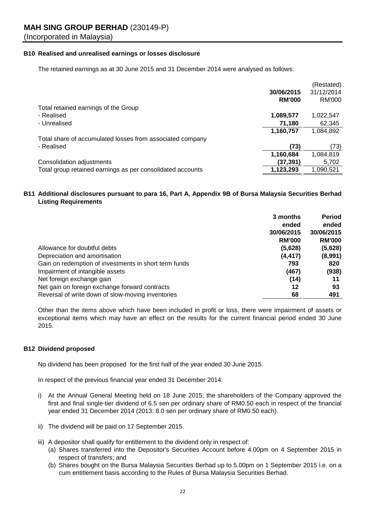# **B10 Realised and unrealised earnings or losses disclosure**

The retained earnings as at 30 June 2015 and 31 December 2014 were analysed as follows:

|                                                            |               | (Restated) |
|------------------------------------------------------------|---------------|------------|
|                                                            | 30/06/2015    | 31/12/2014 |
|                                                            | <b>RM'000</b> | RM'000     |
| Total retained earnings of the Group                       |               |            |
| - Realised                                                 | 1,089,577     | 1,022,547  |
| - Unrealised                                               | 71,180        | 62,345     |
|                                                            | 1,160,757     | 1,084,892  |
| Total share of accumulated losses from associated company  |               |            |
| - Realised                                                 | (73)          | (73)       |
|                                                            | 1,160,684     | 1,084,819  |
| Consolidation adjustments                                  | (37, 391)     | 5,702      |
| Total group retained earnings as per consolidated accounts | 1,123,293     | 1,090,521  |

# **B11 Additional disclosures pursuant to para 16, Part A, Appendix 9B of Bursa Malaysia Securities Berhad Listing Requirements**

|                                                       | 3 months      | Period        |
|-------------------------------------------------------|---------------|---------------|
|                                                       | ended         | ended         |
|                                                       | 30/06/2015    | 30/06/2015    |
|                                                       | <b>RM'000</b> | <b>RM'000</b> |
| Allowance for doubtful debts                          | (5,628)       | (5,628)       |
| Depreciation and amortisation                         | (4, 417)      | (8,991)       |
| Gain on redemption of investments in short term funds | 793           | 820           |
| Impairment of intangible assets                       | (467)         | (938)         |
| Net foreign exchange gain                             | (14)          | 11            |
| Net gain on foreign exchange forward contracts        | 12            | 93            |
| Reversal of write down of slow-moving inventories     | 68            | 491           |

Other than the items above which have been included in profit or loss, there were impairment of assets or exceptional items which may have an effect on the results for the current financial period ended 30 June 2015.

# **B12 Dividend proposed**

No dividend has been proposed for the first half of the year ended 30 June 2015.

In respect of the previous financial year ended 31 December 2014:

- i) At the Annual General Meeting held on 18 June 2015, the shareholders of the Company approved the first and final single-tier dividend of 6.5 sen per ordinary share of RM0.50 each in respect of the financial year ended 31 December 2014 (2013: 8.0 sen per ordinary share of RM0.50 each).
- ii) The dividend will be paid on 17 September 2015.
- iii) A depositor shall qualify for entitlement to the dividend only in respect of:
	- (a) Shares transferred into the Depositor's Securities Account before 4.00pm on 4 September 2015 in respect of transfers; and
	- (b) Shares bought on the Bursa Malaysia Securities Berhad up to 5.00pm on 1 September 2015 i.e. on a cum entitlement basis according to the Rules of Bursa Malaysia Securities Berhad.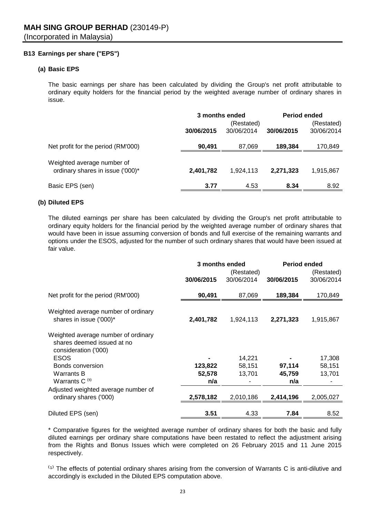# **B13 Earnings per share ("EPS")**

# **(a) Basic EPS**

The basic earnings per share has been calculated by dividing the Group's net profit attributable to ordinary equity holders for the financial period by the weighted average number of ordinary shares in issue.

|                                                                | 3 months ended<br>(Restated) |            |            | <b>Period ended</b><br>(Restated) |
|----------------------------------------------------------------|------------------------------|------------|------------|-----------------------------------|
|                                                                | 30/06/2015                   | 30/06/2014 | 30/06/2015 | 30/06/2014                        |
| Net profit for the period (RM'000)                             | 90,491                       | 87,069     | 189,384    | 170,849                           |
| Weighted average number of<br>ordinary shares in issue ('000)* | 2,401,782                    | 1,924,113  | 2,271,323  | 1,915,867                         |
| Basic EPS (sen)                                                | 3.77                         | 4.53       | 8.34       | 8.92                              |

# **(b) Diluted EPS**

The diluted earnings per share has been calculated by dividing the Group's net profit attributable to ordinary equity holders for the financial period by the weighted average number of ordinary shares that would have been in issue assuming conversion of bonds and full exercise of the remaining warrants and options under the ESOS, adjusted for the number of such ordinary shares that would have been issued at fair value.

|                                                                                           | 3 months ended |            | <b>Period ended</b> |            |  |
|-------------------------------------------------------------------------------------------|----------------|------------|---------------------|------------|--|
|                                                                                           | (Restated)     |            |                     | (Restated) |  |
|                                                                                           | 30/06/2015     | 30/06/2014 | 30/06/2015          | 30/06/2014 |  |
| Net profit for the period (RM'000)                                                        | 90,491         | 87,069     | 189,384             | 170,849    |  |
| Weighted average number of ordinary<br>shares in issue ('000)*                            | 2,401,782      | 1,924,113  | 2,271,323           | 1,915,867  |  |
| Weighted average number of ordinary<br>shares deemed issued at no<br>consideration ('000) |                |            |                     |            |  |
| <b>ESOS</b>                                                                               |                | 14,221     |                     | 17,308     |  |
| Bonds conversion                                                                          | 123,822        | 58,151     | 97,114              | 58,151     |  |
| Warrants B                                                                                | 52,578         | 13,701     | 45,759              | 13,701     |  |
| Warrants C <sup>(1)</sup>                                                                 | n/a            |            | n/a                 |            |  |
| Adjusted weighted average number of                                                       |                |            |                     |            |  |
| ordinary shares ('000)                                                                    | 2,578,182      | 2,010,186  | 2,414,196           | 2,005,027  |  |
|                                                                                           |                |            |                     |            |  |
| Diluted EPS (sen)                                                                         | 3.51           | 4.33       | 7.84                | 8.52       |  |

\* Comparative figures for the weighted average number of ordinary shares for both the basic and fully diluted earnings per ordinary share computations have been restated to reflect the adjustment arising from the Rights and Bonus Issues which were completed on 26 February 2015 and 11 June 2015 respectively.

<sup>(1)</sup> The effects of potential ordinary shares arising from the conversion of Warrants C is anti-dilutive and accordingly is excluded in the Diluted EPS computation above.